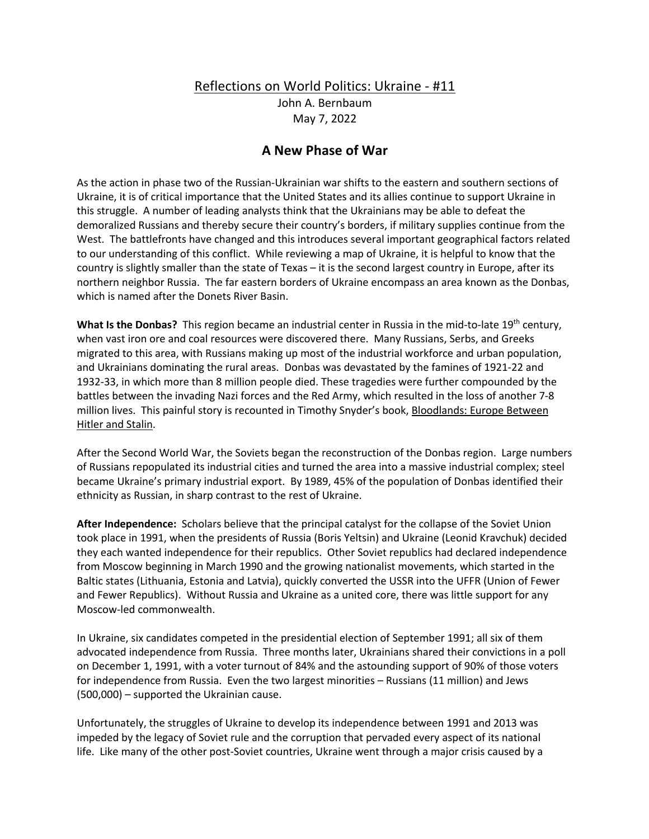## Reflections on World Politics: Ukraine - #11

John A. Bernbaum May 7, 2022

## **A New Phase of War**

As the action in phase two of the Russian-Ukrainian war shifts to the eastern and southern sections of Ukraine, it is of critical importance that the United States and its allies continue to support Ukraine in this struggle. A number of leading analysts think that the Ukrainians may be able to defeat the demoralized Russians and thereby secure their country's borders, if military supplies continue from the West. The battlefronts have changed and this introduces several important geographical factors related to our understanding of this conflict. While reviewing a map of Ukraine, it is helpful to know that the country is slightly smaller than the state of Texas – it is the second largest country in Europe, after its northern neighbor Russia. The far eastern borders of Ukraine encompass an area known as the Donbas, which is named after the Donets River Basin.

**What Is the Donbas?** This region became an industrial center in Russia in the mid-to-late 19<sup>th</sup> century, when vast iron ore and coal resources were discovered there. Many Russians, Serbs, and Greeks migrated to this area, with Russians making up most of the industrial workforce and urban population, and Ukrainians dominating the rural areas. Donbas was devastated by the famines of 1921-22 and 1932-33, in which more than 8 million people died. These tragedies were further compounded by the battles between the invading Nazi forces and the Red Army, which resulted in the loss of another 7-8 million lives. This painful story is recounted in Timothy Snyder's book, Bloodlands: Europe Between Hitler and Stalin.

After the Second World War, the Soviets began the reconstruction of the Donbas region. Large numbers of Russians repopulated its industrial cities and turned the area into a massive industrial complex; steel became Ukraine's primary industrial export. By 1989, 45% of the population of Donbas identified their ethnicity as Russian, in sharp contrast to the rest of Ukraine.

**After Independence:** Scholars believe that the principal catalyst for the collapse of the Soviet Union took place in 1991, when the presidents of Russia (Boris Yeltsin) and Ukraine (Leonid Kravchuk) decided they each wanted independence for their republics. Other Soviet republics had declared independence from Moscow beginning in March 1990 and the growing nationalist movements, which started in the Baltic states (Lithuania, Estonia and Latvia), quickly converted the USSR into the UFFR (Union of Fewer and Fewer Republics). Without Russia and Ukraine as a united core, there was little support for any Moscow-led commonwealth.

In Ukraine, six candidates competed in the presidential election of September 1991; all six of them advocated independence from Russia. Three months later, Ukrainians shared their convictions in a poll on December 1, 1991, with a voter turnout of 84% and the astounding support of 90% of those voters for independence from Russia. Even the two largest minorities – Russians (11 million) and Jews (500,000) – supported the Ukrainian cause.

Unfortunately, the struggles of Ukraine to develop its independence between 1991 and 2013 was impeded by the legacy of Soviet rule and the corruption that pervaded every aspect of its national life. Like many of the other post-Soviet countries, Ukraine went through a major crisis caused by a